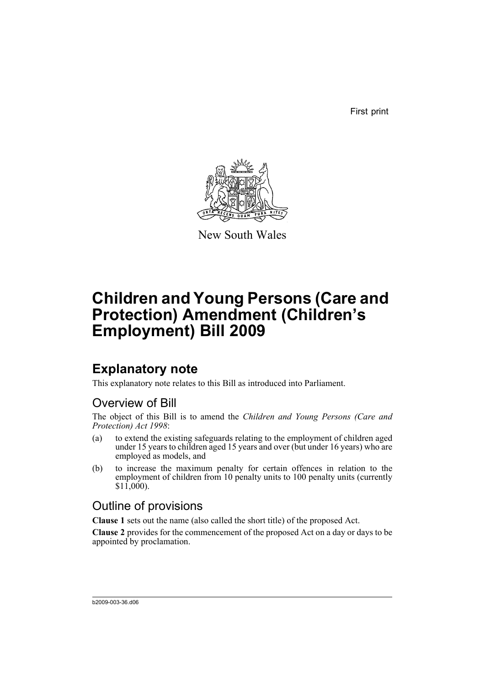First print



New South Wales

# **Children and Young Persons (Care and Protection) Amendment (Children's Employment) Bill 2009**

### **Explanatory note**

This explanatory note relates to this Bill as introduced into Parliament.

### Overview of Bill

The object of this Bill is to amend the *Children and Young Persons (Care and Protection) Act 1998*:

- (a) to extend the existing safeguards relating to the employment of children aged under 15 years to children aged 15 years and over (but under 16 years) who are employed as models, and
- (b) to increase the maximum penalty for certain offences in relation to the employment of children from 10 penalty units to 100 penalty units (currently  $$11,000$ ).

### Outline of provisions

**Clause 1** sets out the name (also called the short title) of the proposed Act.

**Clause 2** provides for the commencement of the proposed Act on a day or days to be appointed by proclamation.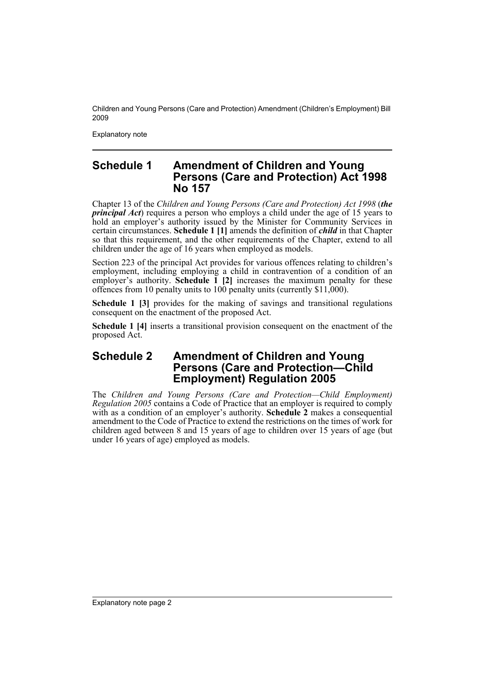Children and Young Persons (Care and Protection) Amendment (Children's Employment) Bill 2009

Explanatory note

#### **Schedule 1 Amendment of Children and Young Persons (Care and Protection) Act 1998 No 157**

Chapter 13 of the *Children and Young Persons (Care and Protection) Act 1998* (*the principal Act*) requires a person who employs a child under the age of 15 years to hold an employer's authority issued by the Minister for Community Services in certain circumstances. **Schedule 1 [1]** amends the definition of *child* in that Chapter so that this requirement, and the other requirements of the Chapter, extend to all children under the age of 16 years when employed as models.

Section 223 of the principal Act provides for various offences relating to children's employment, including employing a child in contravention of a condition of an employer's authority. **Schedule 1** [2] increases the maximum penalty for these offences from 10 penalty units to 100 penalty units (currently \$11,000).

**Schedule 1 [3]** provides for the making of savings and transitional regulations consequent on the enactment of the proposed Act.

**Schedule 1 [4]** inserts a transitional provision consequent on the enactment of the proposed Act.

### **Schedule 2 Amendment of Children and Young Persons (Care and Protection—Child Employment) Regulation 2005**

The *Children and Young Persons (Care and Protection—Child Employment) Regulation 2005* contains a Code of Practice that an employer is required to comply with as a condition of an employer's authority. **Schedule 2** makes a consequential amendment to the Code of Practice to extend the restrictions on the times of work for children aged between 8 and 15 years of age to children over 15 years of age (but under 16 years of age) employed as models.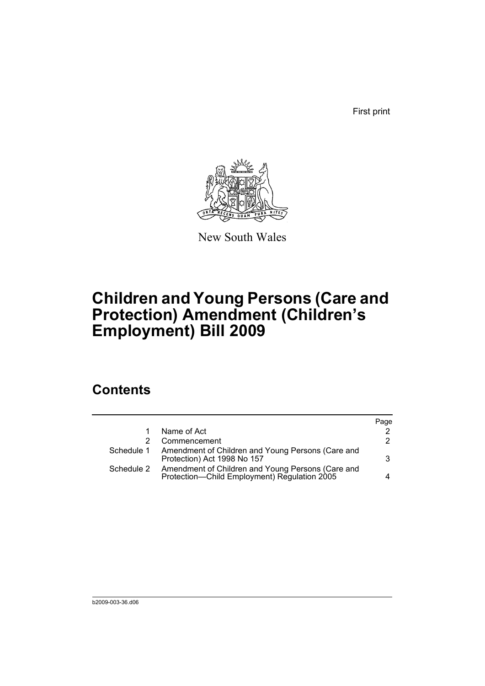First print



New South Wales

# **Children and Young Persons (Care and Protection) Amendment (Children's Employment) Bill 2009**

### **Contents**

|                                                                                                   | Page |
|---------------------------------------------------------------------------------------------------|------|
| Name of Act                                                                                       | 2    |
| Commencement                                                                                      | 2    |
| Amendment of Children and Young Persons (Care and<br>Protection) Act 1998 No 157                  | 3    |
| Amendment of Children and Young Persons (Care and<br>Protection-Child Employment) Regulation 2005 |      |
|                                                                                                   |      |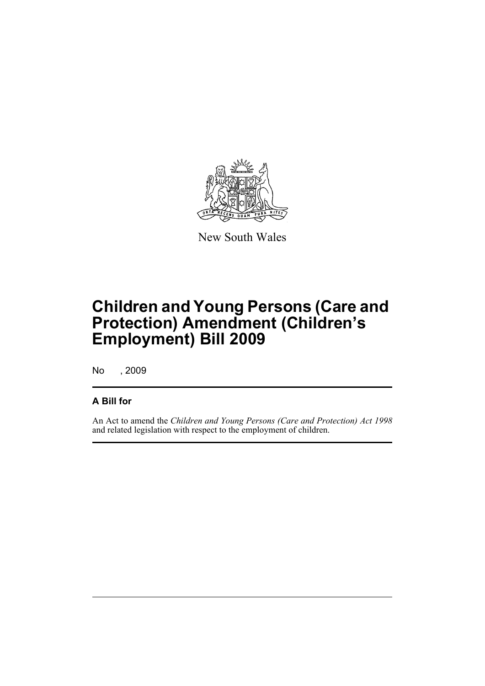

New South Wales

# **Children and Young Persons (Care and Protection) Amendment (Children's Employment) Bill 2009**

No , 2009

### **A Bill for**

An Act to amend the *Children and Young Persons (Care and Protection) Act 1998* and related legislation with respect to the employment of children.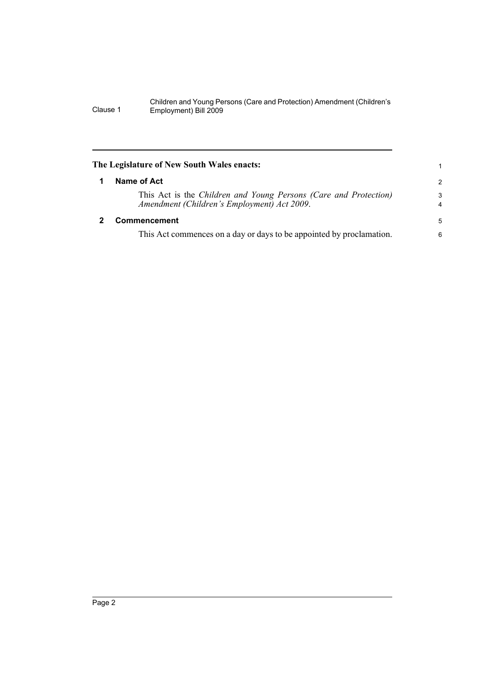#### Children and Young Persons (Care and Protection) Amendment (Children's Clause 1 Employment) Bill 2009

<span id="page-5-1"></span><span id="page-5-0"></span>

| The Legislature of New South Wales enacts: |                                                                                                                 |                |  |  |  |
|--------------------------------------------|-----------------------------------------------------------------------------------------------------------------|----------------|--|--|--|
|                                            | Name of Act                                                                                                     | $\overline{2}$ |  |  |  |
|                                            | This Act is the Children and Young Persons (Care and Protection)<br>Amendment (Children's Employment) Act 2009. | 3<br>4         |  |  |  |
|                                            | Commencement                                                                                                    | 5              |  |  |  |
|                                            | This Act commences on a day or days to be appointed by proclamation.                                            | 6              |  |  |  |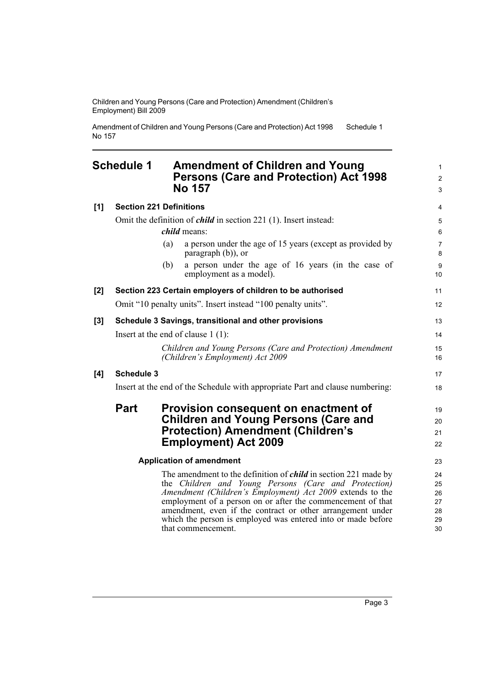Children and Young Persons (Care and Protection) Amendment (Children's Employment) Bill 2009

Amendment of Children and Young Persons (Care and Protection) Act 1998 No 157 Schedule 1

#### <span id="page-6-0"></span>**Schedule 1 Amendment of Children and Young Persons (Care and Protection) Act 1998 No 157**

| [1] | <b>Section 221 Definitions</b>                                                |     |                                                                                                                                                                                                                                                                                                                                                                                                                | 4                                      |
|-----|-------------------------------------------------------------------------------|-----|----------------------------------------------------------------------------------------------------------------------------------------------------------------------------------------------------------------------------------------------------------------------------------------------------------------------------------------------------------------------------------------------------------------|----------------------------------------|
|     | Omit the definition of <i>child</i> in section 221 (1). Insert instead:       |     |                                                                                                                                                                                                                                                                                                                                                                                                                | 5                                      |
|     | <i>child</i> means:                                                           |     |                                                                                                                                                                                                                                                                                                                                                                                                                | 6                                      |
|     |                                                                               | (a) | a person under the age of 15 years (except as provided by<br>paragraph (b)), or                                                                                                                                                                                                                                                                                                                                | $\overline{7}$<br>8                    |
|     |                                                                               | (b) | a person under the age of 16 years (in the case of<br>employment as a model).                                                                                                                                                                                                                                                                                                                                  | 9<br>10                                |
| [2] | Section 223 Certain employers of children to be authorised                    |     |                                                                                                                                                                                                                                                                                                                                                                                                                | 11                                     |
|     |                                                                               |     | Omit "10 penalty units". Insert instead "100 penalty units".                                                                                                                                                                                                                                                                                                                                                   | 12                                     |
| [3] | Schedule 3 Savings, transitional and other provisions                         |     |                                                                                                                                                                                                                                                                                                                                                                                                                | 13                                     |
|     | Insert at the end of clause $1(1)$ :                                          |     |                                                                                                                                                                                                                                                                                                                                                                                                                |                                        |
|     |                                                                               |     | Children and Young Persons (Care and Protection) Amendment<br>(Children's Employment) Act 2009                                                                                                                                                                                                                                                                                                                 | 15<br>16                               |
| [4] | <b>Schedule 3</b>                                                             |     |                                                                                                                                                                                                                                                                                                                                                                                                                | 17                                     |
|     | Insert at the end of the Schedule with appropriate Part and clause numbering: |     |                                                                                                                                                                                                                                                                                                                                                                                                                |                                        |
|     | <b>Part</b>                                                                   |     | Provision consequent on enactment of                                                                                                                                                                                                                                                                                                                                                                           | 19                                     |
|     |                                                                               |     | <b>Children and Young Persons (Care and</b>                                                                                                                                                                                                                                                                                                                                                                    | 20                                     |
|     |                                                                               |     | <b>Protection) Amendment (Children's</b>                                                                                                                                                                                                                                                                                                                                                                       | 21                                     |
|     |                                                                               |     | <b>Employment) Act 2009</b>                                                                                                                                                                                                                                                                                                                                                                                    | 22                                     |
|     | <b>Application of amendment</b>                                               |     |                                                                                                                                                                                                                                                                                                                                                                                                                | 23                                     |
|     |                                                                               |     | The amendment to the definition of <i>child</i> in section 221 made by<br>the Children and Young Persons (Care and Protection)<br>Amendment (Children's Employment) Act 2009 extends to the<br>employment of a person on or after the commencement of that<br>amendment, even if the contract or other arrangement under<br>which the person is employed was entered into or made before<br>that commencement. | 24<br>25<br>26<br>27<br>28<br>29<br>30 |

1 2 3